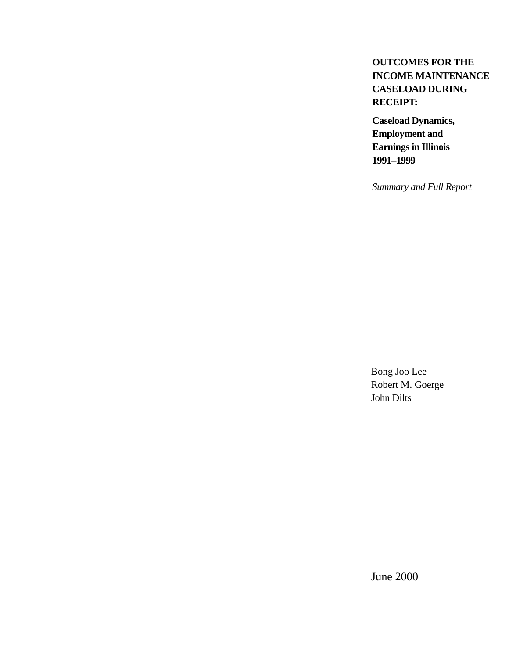## **OUTCOMES FOR THE INCOME MAINTENANCE CASELOAD DURING RECEIPT:**

**Caseload Dynamics, Employment and Earnings in Illinois 1991–1999**

*Summary and Full Report*

Bong Joo Lee Robert M. Goerge John Dilts

June 2000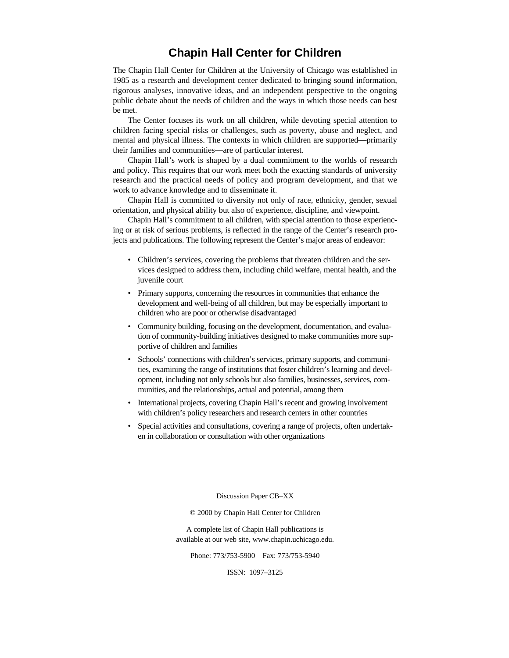## **Chapin Hall Center for Children**

The Chapin Hall Center for Children at the University of Chicago was established in 1985 as a research and development center dedicated to bringing sound information, rigorous analyses, innovative ideas, and an independent perspective to the ongoing public debate about the needs of children and the ways in which those needs can best be met.

The Center focuses its work on all children, while devoting special attention to children facing special risks or challenges, such as poverty, abuse and neglect, and mental and physical illness. The contexts in which children are supported—primarily their families and communities—are of particular interest.

Chapin Hall's work is shaped by a dual commitment to the worlds of research and policy. This requires that our work meet both the exacting standards of university research and the practical needs of policy and program development, and that we work to advance knowledge and to disseminate it.

Chapin Hall is committed to diversity not only of race, ethnicity, gender, sexual orientation, and physical ability but also of experience, discipline, and viewpoint.

Chapin Hall's commitment to all children, with special attention to those experiencing or at risk of serious problems, is reflected in the range of the Center's research projects and publications. The following represent the Center's major areas of endeavor:

- Children's services, covering the problems that threaten children and the services designed to address them, including child welfare, mental health, and the juvenile court
- Primary supports, concerning the resources in communities that enhance the development and well-being of all children, but may be especially important to children who are poor or otherwise disadvantaged
- Community building, focusing on the development, documentation, and evaluation of community-building initiatives designed to make communities more supportive of children and families
- Schools' connections with children's services, primary supports, and communities, examining the range of institutions that foster children's learning and development, including not only schools but also families, businesses, services, communities, and the relationships, actual and potential, among them
- International projects, covering Chapin Hall's recent and growing involvement with children's policy researchers and research centers in other countries
- Special activities and consultations, covering a range of projects, often undertaken in collaboration or consultation with other organizations

Discussion Paper CB–XX

© 2000 by Chapin Hall Center for Children

A complete list of Chapin Hall publications is available at our web site, www.chapin.uchicago.edu.

Phone: 773/753-5900 Fax: 773/753-5940

ISSN: 1097–3125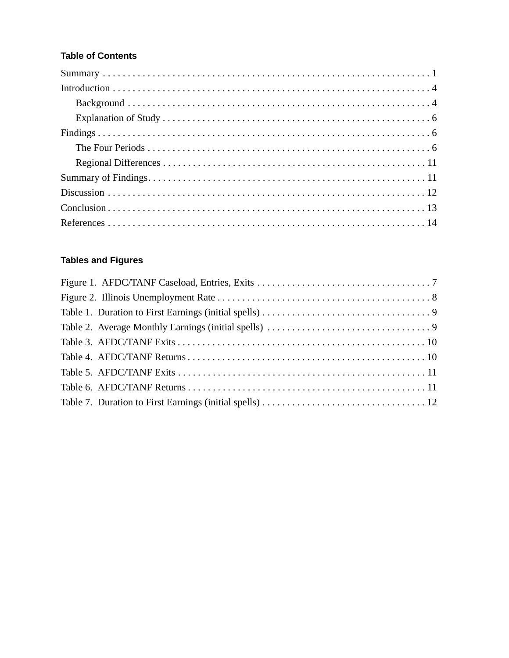## **Table of Contents**

## **Tables and Figures**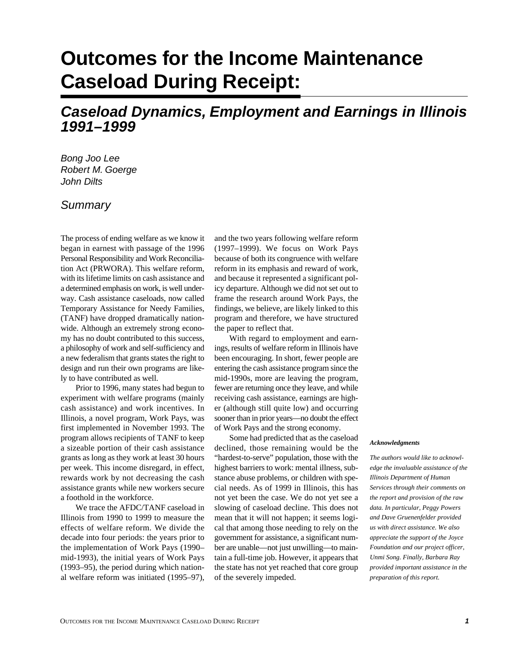# **Outcomes for the Income Maintenance Caseload During Receipt:**

## **Caseload Dynamics, Employment and Earnings in Illinois 1991–1999**

Bong Joo Lee Robert M. Goerge John Dilts

## **Summary**

The process of ending welfare as we know it began in earnest with passage of the 1996 Personal Responsibility and Work Reconciliation Act (PRWORA). This welfare reform, with its lifetime limits on cash assistance and a determined emphasis on work, is well underway. Cash assistance caseloads, now called Temporary Assistance for Needy Families, (TANF) have dropped dramatically nationwide. Although an extremely strong economy has no doubt contributed to this success, a philosophy of work and self-sufficiency and a new federalism that grants states the right to design and run their own programs are likely to have contributed as well.

Prior to 1996, many states had begun to experiment with welfare programs (mainly cash assistance) and work incentives. In Illinois, a novel program, Work Pays, was first implemented in November 1993. The program allows recipients of TANF to keep a sizeable portion of their cash assistance grants as long as they work at least 30 hours per week. This income disregard, in effect, rewards work by not decreasing the cash assistance grants while new workers secure a foothold in the workforce.

We trace the AFDC/TANF caseload in Illinois from 1990 to 1999 to measure the effects of welfare reform. We divide the decade into four periods: the years prior to the implementation of Work Pays (1990– mid-1993), the initial years of Work Pays (1993–95), the period during which national welfare reform was initiated (1995–97),

and the two years following welfare reform (1997–1999). We focus on Work Pays because of both its congruence with welfare reform in its emphasis and reward of work, and because it represented a significant policy departure. Although we did not set out to frame the research around Work Pays, the findings, we believe, are likely linked to this program and therefore, we have structured the paper to reflect that.

With regard to employment and earnings, results of welfare reform in Illinois have been encouraging. In short, fewer people are entering the cash assistance program since the mid-1990s, more are leaving the program, fewer are returning once they leave, and while receiving cash assistance, earnings are higher (although still quite low) and occurring sooner than in prior years—no doubt the effect of Work Pays and the strong economy.

Some had predicted that as the caseload declined, those remaining would be the "hardest-to-serve" population, those with the highest barriers to work: mental illness, substance abuse problems, or children with special needs. As of 1999 in Illinois, this has not yet been the case. We do not yet see a slowing of caseload decline. This does not mean that it will not happen; it seems logical that among those needing to rely on the government for assistance, a significant number are unable—not just unwilling—to maintain a full-time job. However, it appears that the state has not yet reached that core group of the severely impeded.

#### *Acknowledgments*

*The authors would like to acknowledge the invaluable assistance of the Illinois Department of Human Services through their comments on the report and provision of the raw data. In particular, Peggy Powers and Dave Gruenenfelder provided us with direct assistance. We also appreciate the support of the Joyce Foundation and our project officer, Unmi Song. Finally, Barbara Ray provided important assistance in the preparation of this report.*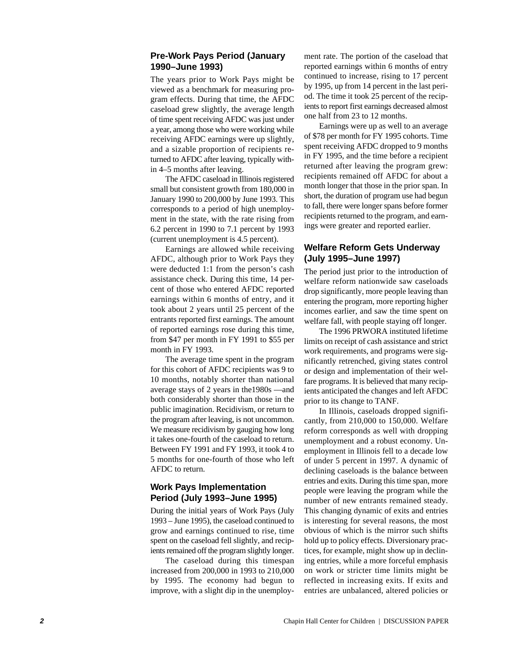## **Pre-Work Pays Period (January 1990–June 1993)**

The years prior to Work Pays might be viewed as a benchmark for measuring program effects. During that time, the AFDC caseload grew slightly, the average length of time spent receiving AFDC was just under a year, among those who were working while receiving AFDC earnings were up slightly, and a sizable proportion of recipients returned to AFDC after leaving, typically within 4–5 months after leaving.

The AFDC caseload in Illinois registered small but consistent growth from 180,000 in January 1990 to 200,000 by June 1993. This corresponds to a period of high unemployment in the state, with the rate rising from 6.2 percent in 1990 to 7.1 percent by 1993 (current unemployment is 4.5 percent).

Earnings are allowed while receiving AFDC, although prior to Work Pays they were deducted 1:1 from the person 's cash assistance check. During this time, 14 percent of those who entered AFDC reported earnings within 6 months of entry, and it took about 2 years until 25 percent of the entrants reported first earnings. The amount of reported earnings rose during this time, from \$47 per month in FY 1991 to \$55 per month in FY 1993.

The average time spent in the program for this cohort of AFDC recipients was 9 to 10 months, notably shorter than national average stays of 2 years in the1980s —and both considerably shorter than those in the public imagination. Recidivism, or return to the program after leaving, is not uncommon. We measure recidivism by gauging how long it takes one-fourth of the caseload to return. Between FY 1991 and FY 1993, it took 4 to 5 months for one-fourth of those who left AFDC to return.

## **Work Pays Implementation Period (July 1993 –June 1995)**

During the initial years of Work Pays (July 1993 – June 1995), the caseload continued to grow and earnings continued to rise, time spent on the caseload fell slightly, and recipients remained off the program slightly longer.

The caseload during this timespan increased from 200,000 in 1993 to 210,000 by 1995. The economy had begun to improve, with a slight dip in the unemployment rate. The portion of the caseload that reported earnings within 6 months of entry continued to increase, rising to 17 percent by 1995, up from 14 percent in the last period. The time it took 25 percent of the recipients to report first earnings decreased almost one half from 23 to 12 months.

Earnings were up as well to an average of \$78 per month for FY 1995 cohorts. Time spent receiving AFDC dropped to 9 months in FY 1995, and the time before a recipient returned after leaving the program grew: recipients remained off AFDC for about a month longer that those in the prior span. In short, the duration of program use had begun to fall, there were longer spans before former recipients returned to the program, and earnings were greater and reported earlier.

## **Welfare Reform Gets Underway (July 1995 –June 1997)**

The period just prior to the introduction of welfare reform nationwide saw caseloads drop significantly, more people leaving than entering the program, more reporting higher incomes earlier, and saw the time spent on welfare fall, with people staying off longer.

The 1996 PRWORA instituted lifetime limits on receipt of cash assistance and strict work requirements, and programs were significantly retrenched, giving states control or design and implementation of their welfare programs. It is believed that many recipients anticipated the changes and left AFDC prior to its change to TANF.

In Illinois, caseloads dropped significantly, from 210,000 to 150,000. Welfare reform corresponds as well with dropping unemployment and a robust economy. Unemployment in Illinois fell to a decade low of under 5 percent in 1997. A dynamic of declining caseloads is the balance between entries and exits. During this time span, more people were leaving the program while the number of new entrants remained steady. This changing dynamic of exits and entries is interesting for several reasons, the most obvious of which is the mirror such shifts hold up to policy effects. Diversionary practices, for example, might show up in declining entries, while a more forceful emphasis on work or stricter time limits might be reflected in increasing exits. If exits and entries are unbalanced, altered policies or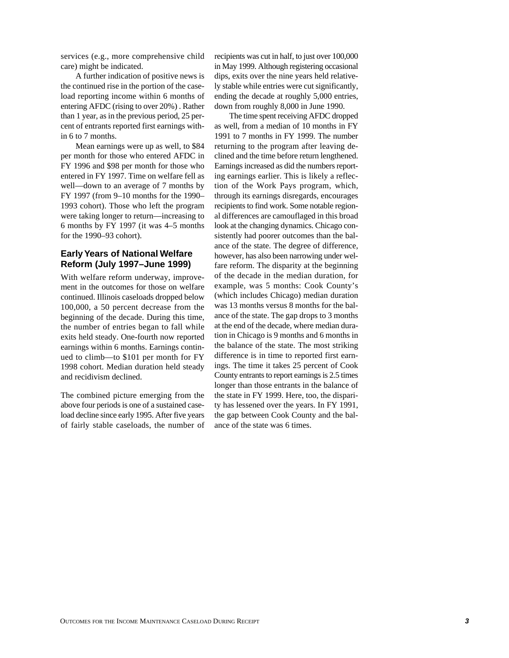services (e.g., more comprehensive child care) might be indicated.

A further indication of positive news is the continued rise in the portion of the caseload reporting income within 6 months of entering AFDC (rising to over 20%) . Rather than 1 year, as in the previous period, 25 percent of entrants reported first earnings within 6 to 7 months.

Mean earnings were up as well, to \$84 per month for those who entered AFDC in FY 1996 and \$98 per month for those who entered in FY 1997. Time on welfare fell as well—down to an average of 7 months by FY 1997 (from 9–10 months for the 1990– 1993 cohort). Those who left the program were taking longer to return—increasing to 6 months by FY 1997 (it was 4–5 months for the 1990–93 cohort).

#### **Early Years of National Welfare Reform (July 1997–June 1999)**

With welfare reform underway, improvement in the outcomes for those on welfare continued. Illinois caseloads dropped below 100,000, a 50 percent decrease from the beginning of the decade. During this time, the number of entries began to fall while exits held steady. One-fourth now reported earnings within 6 months. Earnings continued to climb—to \$101 per month for FY 1998 cohort. Median duration held steady and recidivism declined.

The combined picture emerging from the above four periods is one of a sustained caseload decline since early 1995. After five years of fairly stable caseloads, the number of recipients was cut in half, to just over 100,000 in May 1999. Although registering occasional dips, exits over the nine years held relatively stable while entries were cut significantly, ending the decade at roughly 5,000 entries, down from roughly 8,000 in June 1990.

The time spent receiving AFDC dropped as well, from a median of 10 months in FY 1991 to 7 months in FY 1999. The number returning to the program after leaving declined and the time before return lengthened. Earnings increased as did the numbers reporting earnings earlier. This is likely a reflection of the Work Pays program, which, through its earnings disregards, encourages recipients to find work. Some notable regional differences are camouflaged in this broad look at the changing dynamics. Chicago consistently had poorer outcomes than the balance of the state. The degree of difference, however, has also been narrowing under welfare reform. The disparity at the beginning of the decade in the median duration, for example, was 5 months: Cook County's (which includes Chicago) median duration was 13 months versus 8 months for the balance of the state. The gap drops to 3 months at the end of the decade, where median duration in Chicago is 9 months and 6 months in the balance of the state. The most striking difference is in time to reported first earnings. The time it takes 25 percent of Cook County entrants to report earnings is 2.5 times longer than those entrants in the balance of the state in FY 1999. Here, too, the disparity has lessened over the years. In FY 1991, the gap between Cook County and the balance of the state was 6 times.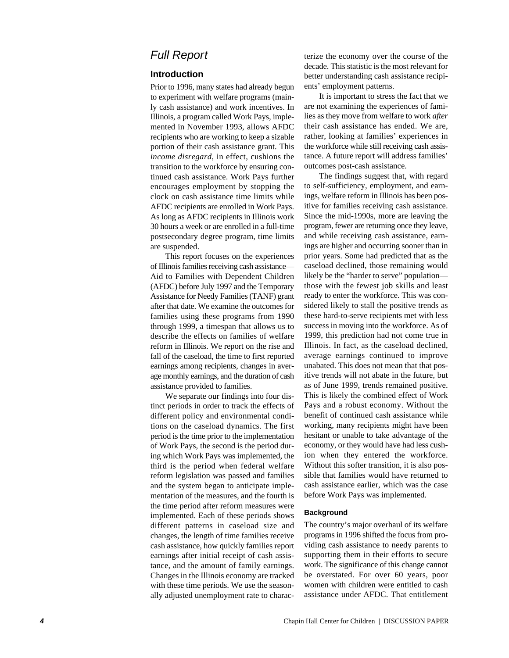## Full Report

## **Introduction**

Prior to 1996, many states had already begun to experiment with welfare programs (mainly cash assistance) and work incentives. In Illinois, a program called Work Pays, implemented in November 1993, allows AFDC recipients who are working to keep a sizable portion of their cash assistance grant. This *income disregard*, in effect, cushions the transition to the workforce by ensuring continued cash assistance. Work Pays further encourages employment by stopping the clock on cash assistance time limits while AFDC recipients are enrolled in Work Pays. As long as AFDC recipients in Illinois work 30 hours a week or are enrolled in a full-time postsecondary degree program, time limits are suspended.

This report focuses on the experiences of Illinois families receiving cash assistance— Aid to Families with Dependent Children (AFDC) before July 1997 and the Temporary Assistance for Needy Families (TANF) grant after that date. We examine the outcomes for families using these programs from 1990 through 1999, a timespan that allows us to describe the effects on families of welfare reform in Illinois. We report on the rise and fall of the caseload, the time to first reported earnings among recipients, changes in average monthly earnings, and the duration of cash assistance provided to families.

We separate our findings into four distinct periods in order to track the effects of different policy and environmental conditions on the caseload dynamics. The first period is the time prior to the implementation of Work Pays, the second is the period during which Work Pays was implemented, the third is the period when federal welfare reform legislation was passed and families and the system began to anticipate implementation of the measures, and the fourth is the time period after reform measures were implemented. Each of these periods shows different patterns in caseload size and changes, the length of time families receive cash assistance, how quickly families report earnings after initial receipt of cash assistance, and the amount of family earnings. Changes in the Illinois economy are tracked with these time periods. We use the seasonally adjusted unemployment rate to characterize the economy over the course of the decade. This statistic is the most relevant for better understanding cash assistance recipients' employment patterns.

It is important to stress the fact that we are not examining the experiences of families as they move from welfare to work *after* their cash assistance has ended. We are, rather, looking at families ' experiences in the workforce while still receiving cash assistance. A future report will address families' outcomes post-cash assistance.

The findings suggest that, with regard to self-sufficiency, employment, and earnings, welfare reform in Illinois has been positive for families receiving cash assistance. Since the mid-1990s, more are leaving the program, fewer are returning once they leave, and while receiving cash assistance, earnings are higher and occurring sooner than in prior years. Some had predicted that as the caseload declined, those remaining would likely be the "harder to serve" populationthose with the fewest job skills and least ready to enter the workforce. This was considered likely to stall the positive trends as these hard-to-serve recipients met with less success in moving into the workforce. As of 1999, this prediction had not come true in Illinois. In fact, as the caseload declined, average earnings continued to improve unabated. This does not mean that that positive trends will not abate in the future, but as of June 1999, trends remained positive. This is likely the combined effect of Work Pays and a robust economy. Without the benefit of continued cash assistance while working, many recipients might have been hesitant or unable to take advantage of the economy, or they would have had less cushion when they entered the workforce. Without this softer transition, it is also possible that families would have returned to cash assistance earlier, which was the case before Work Pays was implemented.

#### **Background**

The country 's major overhaul of its welfare programs in 1996 shifted the focus from providing cash assistance to needy parents to supporting them in their efforts to secure work. The significance of this change cannot be overstated. For over 60 years, poor women with children were entitled to cash assistance under AFDC. That entitlement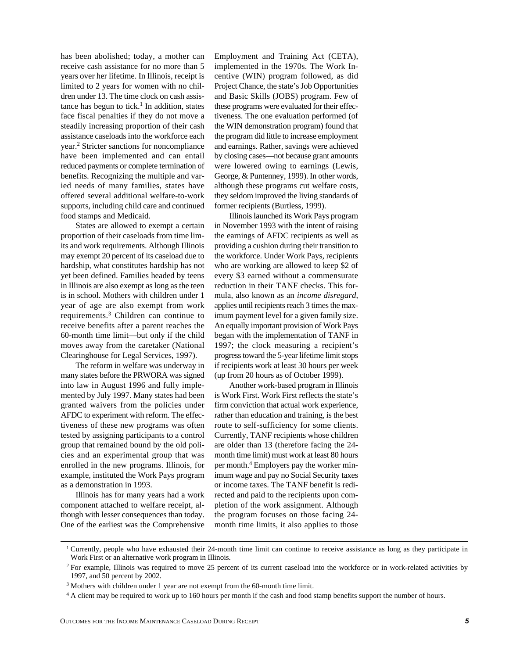has been abolished; today, a mother can receive cash assistance for no more than 5 years over her lifetime. In Illinois, receipt is limited to 2 years for women with no children under 13. The time clock on cash assistance has begun to tick.<sup>1</sup> In addition, states face fiscal penalties if they do not move a steadily increasing proportion of their cash assistance caseloads into the workforce each year.2 Stricter sanctions for noncompliance have been implemented and can entail reduced payments or complete termination of benefits. Recognizing the multiple and varied needs of many families, states have offered several additional welfare-to-work supports, including child care and continued food stamps and Medicaid.

States are allowed to exempt a certain proportion of their caseloads from time limits and work requirements. Although Illinois may exempt 20 percent of its caseload due to hardship, what constitutes hardship has not yet been defined. Families headed by teens in Illinois are also exempt as long as the teen is in school. Mothers with children under 1 year of age are also exempt from work requirements.3 Children can continue to receive benefits after a parent reaches the 60-month time limit—but only if the child moves away from the caretaker (National Clearinghouse for Legal Services, 1997).

The reform in welfare was underway in many states before the PRWORA was signed into law in August 1996 and fully implemented by July 1997. Many states had been granted waivers from the policies under AFDC to experiment with reform. The effectiveness of these new programs was often tested by assigning participants to a control group that remained bound by the old policies and an experimental group that was enrolled in the new programs. Illinois, for example, instituted the Work Pays program as a demonstration in 1993.

Illinois has for many years had a work component attached to welfare receipt, although with lesser consequences than today. One of the earliest was the Comprehensive Employment and Training Act (CETA), implemented in the 1970s. The Work Incentive (WIN) program followed, as did Project Chance, the state's Job Opportunities and Basic Skills (JOBS) program. Few of these programs were evaluated for their effectiveness. The one evaluation performed (of the WIN demonstration program) found that the program did little to increase employment and earnings. Rather, savings were achieved by closing cases—not because grant amounts were lowered owing to earnings (Lewis, George, & Puntenney, 1999). In other words, although these programs cut welfare costs, they seldom improved the living standards of former recipients (Burtless, 1999).

Illinois launched its Work Pays program in November 1993 with the intent of raising the earnings of AFDC recipients as well as providing a cushion during their transition to the workforce. Under Work Pays, recipients who are working are allowed to keep \$2 of every \$3 earned without a commensurate reduction in their TANF checks. This formula, also known as an *income disregard*, applies until recipients reach 3 times the maximum payment level for a given family size. An equally important provision of Work Pays began with the implementation of TANF in 1997; the clock measuring a recipient's progress toward the 5-year lifetime limit stops if recipients work at least 30 hours per week (up from 20 hours as of October 1999).

Another work-based program in Illinois is Work First. Work First reflects the state's firm conviction that actual work experience, rather than education and training, is the best route to self-sufficiency for some clients. Currently, TANF recipients whose children are older than 13 (therefore facing the 24 month time limit) must work at least 80 hours per month.4 Employers pay the worker minimum wage and pay no Social Security taxes or income taxes. The TANF benefit is redirected and paid to the recipients upon completion of the work assignment. Although the program focuses on those facing 24 month time limits, it also applies to those

<sup>&</sup>lt;sup>1</sup> Currently, people who have exhausted their 24-month time limit can continue to receive assistance as long as they participate in Work First or an alternative work program in Illinois.

<sup>&</sup>lt;sup>2</sup> For example, Illinois was required to move 25 percent of its current caseload into the workforce or in work-related activities by 1997, and 50 percent by 2002.

<sup>&</sup>lt;sup>3</sup> Mothers with children under 1 year are not exempt from the 60-month time limit.

<sup>&</sup>lt;sup>4</sup> A client may be required to work up to 160 hours per month if the cash and food stamp benefits support the number of hours.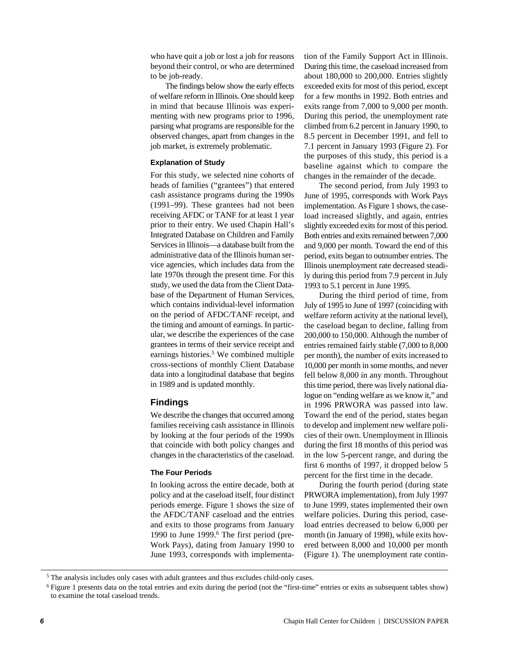who have quit a job or lost a job for reasons beyond their control, or who are determined to be job-ready.

The findings below show the early effects of welfare reform in Illinois. One should keep in mind that because Illinois was experimenting with new programs prior to 1996, parsing what programs are responsible for the observed changes, apart from changes in the job market, is extremely problematic.

#### **Explanation of Study**

For this study, we selected nine cohorts of heads of families ("grantees") that entered cash assistance programs during the 1990s (1991–99). These grantees had not been receiving AFDC or TANF for at least 1 year prior to their entry. We used Chapin Hall's Integrated Database on Children and Family Services in Illinois—a database built from the administrative data of the Illinois human service agencies, which includes data from the late 1970s through the present time. For this study, we used the data from the Client Database of the Department of Human Services, which contains individual-level information on the period of AFDC/TANF receipt, and the timing and amount of earnings. In particular, we describe the experiences of the case grantees in terms of their service receipt and earnings histories.<sup>5</sup> We combined multiple cross-sections of monthly Client Database data into a longitudinal database that begins in 1989 and is updated monthly.

#### **Findings**

We describe the changes that occurred among families receiving cash assistance in Illinois by looking at the four periods of the 1990s that coincide with both policy changes and changes in the characteristics of the caseload.

#### **The Four Periods**

In looking across the entire decade, both at policy and at the caseload itself, four distinct periods emerge. Figure 1 shows the size of the AFDC/TANF caseload and the entries and exits to those programs from January 1990 to June 1999.<sup>6</sup> The first period (pre-Work Pays), dating from January 1990 to June 1993, corresponds with implementation of the Family Support Act in Illinois. During this time, the caseload increased from about 180,000 to 200,000. Entries slightly exceeded exits for most of this period, except for a few months in 1992. Both entries and exits range from 7,000 to 9,000 per month. During this period, the unemployment rate climbed from 6.2 percent in January 1990, to 8.5 percent in December 1991, and fell to 7.1 percent in January 1993 (Figure 2). For the purposes of this study, this period is a baseline against which to compare the changes in the remainder of the decade.

The second period, from July 1993 to June of 1995, corresponds with Work Pays implementation. As Figure 1 shows, the caseload increased slightly, and again, entries slightly exceeded exits for most of this period. Both entries and exits remained between 7,000 and 9,000 per month. Toward the end of this period, exits began to outnumber entries. The Illinois unemployment rate decreased steadily during this period from 7.9 percent in July 1993 to 5.1 percent in June 1995.

During the third period of time, from July of 1995 to June of 1997 (coinciding with welfare reform activity at the national level), the caseload began to decline, falling from 200,000 to 150,000. Although the number of entries remained fairly stable (7,000 to 8,000 per month), the number of exits increased to 10,000 per month in some months, and never fell below 8,000 in any month. Throughout this time period, there was lively national dialogue on "ending welfare as we know it," and in 1996 PRWORA was passed into law. Toward the end of the period, states began to develop and implement new welfare policies of their own. Unemployment in Illinois during the first 18 months of this period was in the low 5-percent range, and during the first 6 months of 1997, it dropped below 5 percent for the first time in the decade.

During the fourth period (during state PRWORA implementation), from July 1997 to June 1999, states implemented their own welfare policies. During this period, caseload entries decreased to below 6,000 per month (in January of 1998), while exits hovered between 8,000 and 10,000 per month (Figure 1). The unemployment rate contin-

<sup>5</sup> The analysis includes only cases with adult grantees and thus excludes child-only cases.

<sup>6</sup> Figure 1 presents data on the total entries and exits during the period (not the "first-time" entries or exits as subsequent tables show) to examine the total caseload trends.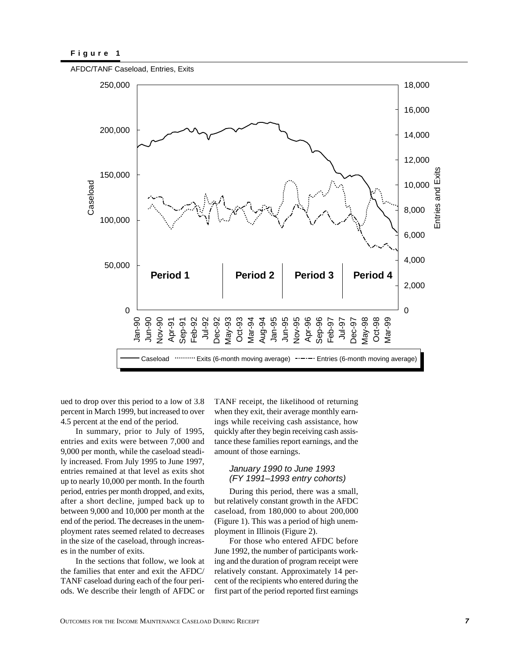

ued to drop over this period to a low of 3.8 percent in March 1999, but increased to over 4.5 percent at the end of the period.

In summary, prior to July of 1995, entries and exits were between 7,000 and 9,000 per month, while the caseload steadily increased. From July 1995 to June 1997, entries remained at that level as exits shot up to nearly 10,000 per month. In the fourth period, entries per month dropped, and exits, after a short decline, jumped back up to between 9,000 and 10,000 per month at the end of the period. The decreases in the unemployment rates seemed related to decreases in the size of the caseload, through increases in the number of exits.

In the sections that follow, we look at the families that enter and exit the AFDC/ TANF caseload during each of the four periods. We describe their length of AFDC or TANF receipt, the likelihood of returning when they exit, their average monthly earnings while receiving cash assistance, how quickly after they begin receiving cash assistance these families report earnings, and the amount of those earnings.

#### January 1990 to June 1993 (FY 1991–1993 entry cohorts)

During this period, there was a small, but relatively constant growth in the AFDC caseload, from 180,000 to about 200,000 (Figure 1). This was a period of high unemployment in Illinois (Figure 2).

For those who entered AFDC before June 1992, the number of participants working and the duration of program receipt were relatively constant. Approximately 14 percent of the recipients who entered during the first part of the period reported first earnings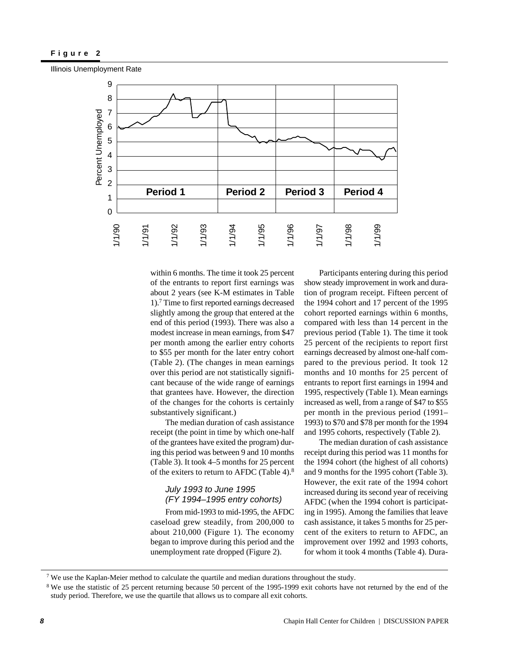Illinois Unemployment Rate



within 6 months. The time it took 25 percent of the entrants to report first earnings was about 2 years (see K-M estimates in Table 1).7 Time to first reported earnings decreased slightly among the group that entered at the end of this period (1993). There was also a modest increase in mean earnings, from \$47 per month among the earlier entry cohorts to \$55 per month for the later entry cohort (Table 2). (The changes in mean earnings over this period are not statistically significant because of the wide range of earnings that grantees have. However, the direction of the changes for the cohorts is certainly substantively significant.)

The median duration of cash assistance receipt (the point in time by which one-half of the grantees have exited the program) during this period was between 9 and 10 months (Table 3). It took 4–5 months for 25 percent of the exiters to return to AFDC (Table 4).8

## July 1993 to June 1995 (FY 1994–1995 entry cohorts)

From mid-1993 to mid-1995, the AFDC caseload grew steadily, from 200,000 to about 210,000 (Figure 1). The economy began to improve during this period and the unemployment rate dropped (Figure 2).

Participants entering during this period show steady improvement in work and duration of program receipt. Fifteen percent of the 1994 cohort and 17 percent of the 1995 cohort reported earnings within 6 months, compared with less than 14 percent in the previous period (Table 1). The time it took 25 percent of the recipients to report first earnings decreased by almost one-half compared to the previous period. It took 12 months and 10 months for 25 percent of entrants to report first earnings in 1994 and 1995, respectively (Table 1). Mean earnings increased as well, from a range of \$47 to \$55 per month in the previous period (1991– 1993) to \$70 and \$78 per month for the 1994 and 1995 cohorts, respectively (Table 2).

The median duration of cash assistance receipt during this period was 11 months for the 1994 cohort (the highest of all cohorts) and 9 months for the 1995 cohort (Table 3). However, the exit rate of the 1994 cohort increased during its second year of receiving AFDC (when the 1994 cohort is participating in 1995). Among the families that leave cash assistance, it takes 5 months for 25 percent of the exiters to return to AFDC, an improvement over 1992 and 1993 cohorts, for whom it took 4 months (Table 4). Dura-

<sup>7</sup> We use the Kaplan-Meier method to calculate the quartile and median durations throughout the study.

<sup>&</sup>lt;sup>8</sup> We use the statistic of 25 percent returning because 50 percent of the 1995-1999 exit cohorts have not returned by the end of the study period. Therefore, we use the quartile that allows us to compare all exit cohorts.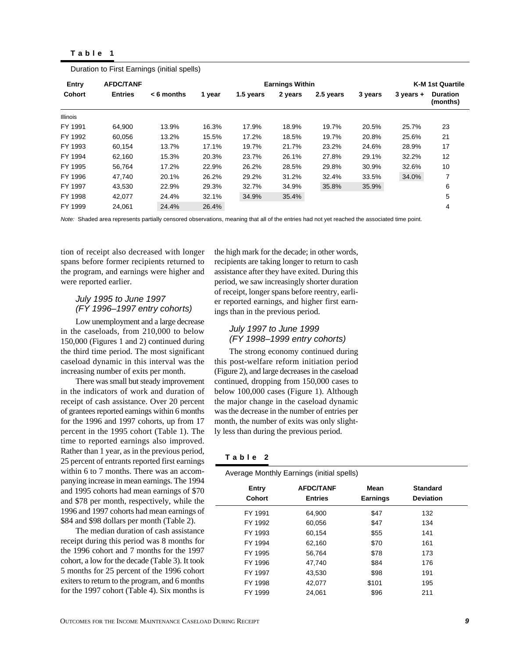|  |  | able |  |  |  |
|--|--|------|--|--|--|
|--|--|------|--|--|--|

| Entry         | <b>AFDC/TANF</b> |              |        |           | <b>Earnings Within</b> |           |         |               | <b>K-M 1st Quartile</b>     |
|---------------|------------------|--------------|--------|-----------|------------------------|-----------|---------|---------------|-----------------------------|
| <b>Cohort</b> | <b>Entries</b>   | $< 6$ months | 1 year | 1.5 years | 2 years                | 2.5 years | 3 years | $3$ years $+$ | <b>Duration</b><br>(months) |
| Illinois      |                  |              |        |           |                        |           |         |               |                             |
| FY 1991       | 64.900           | 13.9%        | 16.3%  | 17.9%     | 18.9%                  | 19.7%     | 20.5%   | 25.7%         | 23                          |
| FY 1992       | 60,056           | 13.2%        | 15.5%  | 17.2%     | 18.5%                  | 19.7%     | 20.8%   | 25.6%         | 21                          |
| FY 1993       | 60.154           | 13.7%        | 17.1%  | 19.7%     | 21.7%                  | 23.2%     | 24.6%   | 28.9%         | 17                          |
| FY 1994       | 62,160           | 15.3%        | 20.3%  | 23.7%     | 26.1%                  | 27.8%     | 29.1%   | 32.2%         | 12                          |
| FY 1995       | 56.764           | 17.2%        | 22.9%  | 26.2%     | 28.5%                  | 29.8%     | 30.9%   | 32.6%         | 10                          |
| FY 1996       | 47,740           | 20.1%        | 26.2%  | 29.2%     | 31.2%                  | 32.4%     | 33.5%   | 34.0%         | 7                           |
| FY 1997       | 43.530           | 22.9%        | 29.3%  | 32.7%     | 34.9%                  | 35.8%     | 35.9%   |               | 6                           |
| FY 1998       | 42,077           | 24.4%        | 32.1%  | 34.9%     | 35.4%                  |           |         |               | 5                           |
| FY 1999       | 24,061           | 24.4%        | 26.4%  |           |                        |           |         |               | 4                           |

Duration to First Earnings (initial spells)

Note: Shaded area represents partially censored observations, meaning that all of the entries had not yet reached the associated time point.

tion of receipt also decreased with longer spans before former recipients returned to the program, and earnings were higher and were reported earlier.

#### July 1995 to June 1997 (FY 1996–1997 entry cohorts)

Low unemployment and a large decrease in the caseloads, from 210,000 to below 150,000 (Figures 1 and 2) continued during the third time period. The most significant caseload dynamic in this interval was the increasing number of exits per month.

There was small but steady improvement in the indicators of work and duration of receipt of cash assistance. Over 20 percent of grantees reported earnings within 6 months for the 1996 and 1997 cohorts, up from 17 percent in the 1995 cohort (Table 1). The time to reported earnings also improved. Rather than 1 year, as in the previous period, 25 percent of entrants reported first earnings within 6 to 7 months. There was an accompanying increase in mean earnings. The 1994 and 1995 cohorts had mean earnings of \$70 and \$78 per month, respectively, while the 1996 and 1997 cohorts had mean earnings of \$84 and \$98 dollars per month (Table 2).

The median duration of cash assistance receipt during this period was 8 months for the 1996 cohort and 7 months for the 1997 cohort, a low for the decade (Table 3). It took 5 months for 25 percent of the 1996 cohort exiters to return to the program, and 6 months for the 1997 cohort (Table 4). Six months is

the high mark for the decade; in other words, recipients are taking longer to return to cash assistance after they have exited. During this period, we saw increasingly shorter duration of receipt, longer spans before reentry, earlier reported earnings, and higher first earnings than in the previous period.

#### July 1997 to June 1999 (FY 1998–1999 entry cohorts)

The strong economy continued during this post-welfare reform initiation period (Figure 2), and large decreases in the caseload continued, dropping from 150,000 cases to below 100,000 cases (Figure 1). Although the major change in the caseload dynamic was the decrease in the number of entries per month, the number of exits was only slightly less than during the previous period.

#### **Table 2**

|  | Average Monthly Earnings (initial spells) |  |  |
|--|-------------------------------------------|--|--|
|  |                                           |  |  |

| Entry<br>Cohort | <b>AFDC/TANF</b><br><b>Entries</b> | Mean<br><b>Earnings</b> | <b>Standard</b><br><b>Deviation</b> |
|-----------------|------------------------------------|-------------------------|-------------------------------------|
| FY 1991         | 64,900                             | \$47                    | 132                                 |
| FY 1992         | 60,056                             | \$47                    | 134                                 |
| FY 1993         | 60,154                             | \$55                    | 141                                 |
| FY 1994         | 62,160                             | \$70                    | 161                                 |
| FY 1995         | 56,764                             | \$78                    | 173                                 |
| FY 1996         | 47.740                             | \$84                    | 176                                 |
| FY 1997         | 43.530                             | \$98                    | 191                                 |
| FY 1998         | 42,077                             | \$101                   | 195                                 |
| FY 1999         | 24.061                             | \$96                    | 211                                 |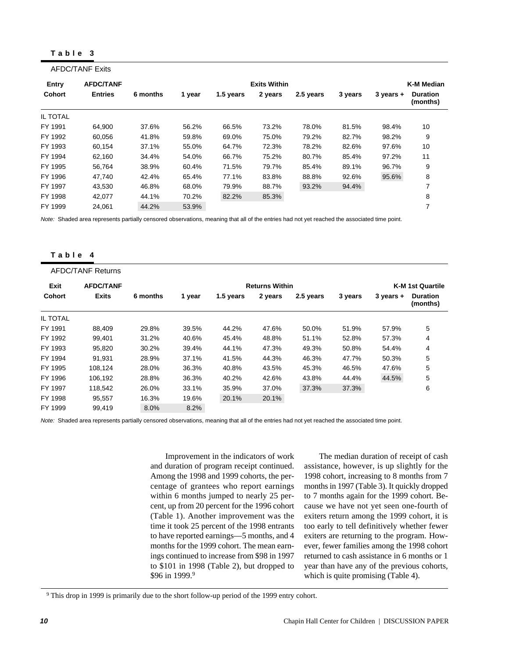#### **Table 3**

AFDC/TANF Exits

|               | ALUVIANI LAID    |          |        |           |                     |           |         |               |                             |
|---------------|------------------|----------|--------|-----------|---------------------|-----------|---------|---------------|-----------------------------|
| Entry         | <b>AFDC/TANF</b> |          |        |           | <b>Exits Within</b> |           |         |               | K-M Median                  |
| <b>Cohort</b> | <b>Entries</b>   | 6 months | 1 year | 1.5 years | 2 years             | 2.5 years | 3 years | $3$ years $+$ | <b>Duration</b><br>(months) |
| IL TOTAL      |                  |          |        |           |                     |           |         |               |                             |
| FY 1991       | 64,900           | 37.6%    | 56.2%  | 66.5%     | 73.2%               | 78.0%     | 81.5%   | 98.4%         | 10                          |
| FY 1992       | 60.056           | 41.8%    | 59.8%  | 69.0%     | 75.0%               | 79.2%     | 82.7%   | 98.2%         | 9                           |
| FY 1993       | 60.154           | 37.1%    | 55.0%  | 64.7%     | 72.3%               | 78.2%     | 82.6%   | 97.6%         | 10                          |
| FY 1994       | 62.160           | 34.4%    | 54.0%  | 66.7%     | 75.2%               | 80.7%     | 85.4%   | 97.2%         | 11                          |
| FY 1995       | 56.764           | 38.9%    | 60.4%  | 71.5%     | 79.7%               | 85.4%     | 89.1%   | 96.7%         | 9                           |
| FY 1996       | 47.740           | 42.4%    | 65.4%  | 77.1%     | 83.8%               | 88.8%     | 92.6%   | 95.6%         | 8                           |
| FY 1997       | 43.530           | 46.8%    | 68.0%  | 79.9%     | 88.7%               | 93.2%     | 94.4%   |               |                             |
| FY 1998       | 42,077           | 44.1%    | 70.2%  | 82.2%     | 85.3%               |           |         |               | 8                           |
| FY 1999       | 24.061           | 44.2%    | 53.9%  |           |                     |           |         |               |                             |

Note: Shaded area represents partially censored observations, meaning that all of the entries had not yet reached the associated time point.

#### **Table 4**

|               | <b>AFDC/TANF Returns</b> |          |        |           |                       |           |         |               |                             |
|---------------|--------------------------|----------|--------|-----------|-----------------------|-----------|---------|---------------|-----------------------------|
| Exit          | <b>AFDC/TANF</b>         |          |        |           | <b>Returns Within</b> |           |         |               | <b>K-M 1st Quartile</b>     |
| <b>Cohort</b> | <b>Exits</b>             | 6 months | 1 year | 1.5 years | 2 years               | 2.5 years | 3 years | $3$ years $+$ | <b>Duration</b><br>(months) |
| IL TOTAL      |                          |          |        |           |                       |           |         |               |                             |
| FY 1991       | 88.409                   | 29.8%    | 39.5%  | 44.2%     | 47.6%                 | 50.0%     | 51.9%   | 57.9%         | 5                           |
| FY 1992       | 99,401                   | 31.2%    | 40.6%  | 45.4%     | 48.8%                 | 51.1%     | 52.8%   | 57.3%         | 4                           |
| FY 1993       | 95,820                   | 30.2%    | 39.4%  | 44.1%     | 47.3%                 | 49.3%     | 50.8%   | 54.4%         | 4                           |
| FY 1994       | 91,931                   | 28.9%    | 37.1%  | 41.5%     | 44.3%                 | 46.3%     | 47.7%   | 50.3%         | 5                           |
| FY 1995       | 108.124                  | 28.0%    | 36.3%  | 40.8%     | 43.5%                 | 45.3%     | 46.5%   | 47.6%         | 5                           |
| FY 1996       | 106.192                  | 28.8%    | 36.3%  | 40.2%     | 42.6%                 | 43.8%     | 44.4%   | 44.5%         | 5                           |
| FY 1997       | 118,542                  | 26.0%    | 33.1%  | 35.9%     | 37.0%                 | 37.3%     | 37.3%   |               | 6                           |
| FY 1998       | 95.557                   | 16.3%    | 19.6%  | 20.1%     | 20.1%                 |           |         |               |                             |
| FY 1999       | 99,419                   | 8.0%     | 8.2%   |           |                       |           |         |               |                             |

Note: Shaded area represents partially censored observations, meaning that all of the entries had not yet reached the associated time point.

Improvement in the indicators of work and duration of program receipt continued. Among the 1998 and 1999 cohorts, the percentage of grantees who report earnings within 6 months jumped to nearly 25 percent, up from 20 percent for the 1996 cohort (Table 1). Another improvement was the time it took 25 percent of the 1998 entrants to have reported earnings—5 months, and 4 months for the 1999 cohort. The mean earnings continued to increase from \$98 in 1997 to \$101 in 1998 (Table 2), but dropped to \$96 in 1999.9

The median duration of receipt of cash assistance, however, is up slightly for the 1998 cohort, increasing to 8 months from 7 months in 1997 (Table 3). It quickly dropped to 7 months again for the 1999 cohort. Because we have not yet seen one-fourth of exiters return among the 1999 cohort, it is too early to tell definitively whether fewer exiters are returning to the program. However, fewer families among the 1998 cohort returned to cash assistance in 6 months or 1 year than have any of the previous cohorts, which is quite promising (Table 4).

<sup>9</sup> This drop in 1999 is primarily due to the short follow-up period of the 1999 entry cohort.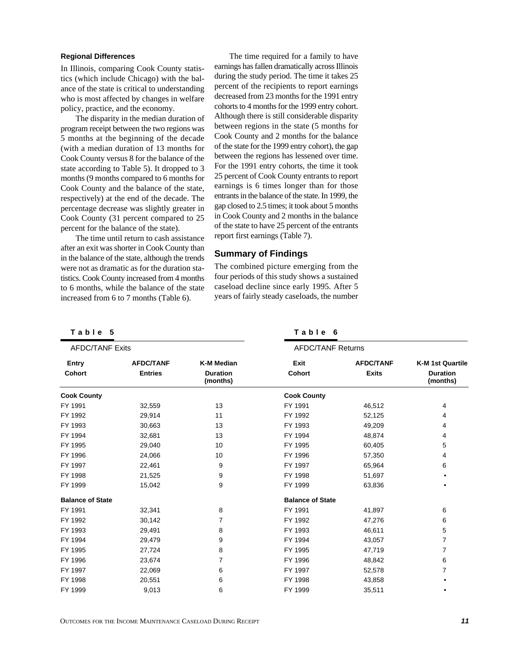#### **Regional Differences**

In Illinois, comparing Cook County statistics (which include Chicago) with the balance of the state is critical to understanding who is most affected by changes in welfare policy, practice, and the economy.

The disparity in the median duration of program receipt between the two regions was 5 months at the beginning of the decade (with a median duration of 13 months for Cook County versus 8 for the balance of the state according to Table 5). It dropped to 3 months (9 months compared to 6 months for Cook County and the balance of the state, respectively) at the end of the decade. The percentage decrease was slightly greater in Cook County (31 percent compared to 25 percent for the balance of the state).

The time until return to cash assistance after an exit was shorter in Cook County than in the balance of the state, although the trends were not as dramatic as for the duration statistics. Cook County increased from 4 months to 6 months, while the balance of the state increased from 6 to 7 months (Table 6).

The time required for a family to have earnings has fallen dramatically across Illinois during the study period. The time it takes 25 percent of the recipients to report earnings decreased from 23 months for the 1991 entry cohorts to 4 months for the 1999 entry cohort. Although there is still considerable disparity between regions in the state (5 months for Cook County and 2 months for the balance of the state for the 1999 entry cohort), the gap between the regions has lessened over time. For the 1991 entry cohorts, the time it took 25 percent of Cook County entrants to report earnings is 6 times longer than for those entrants in the balance of the state. In 1999, the gap closed to 2.5 times; it took about 5 months in Cook County and 2 months in the balance of the state to have 25 percent of the entrants report first earnings (Table 7).

## **Summary of Findings**

The combined picture emerging from the four periods of this study shows a sustained caseload decline since early 1995. After 5 years of fairly steady caseloads, the number

|  |  | Table |  |  | 5 |
|--|--|-------|--|--|---|
|--|--|-------|--|--|---|

**Table 6**

| <b>AFDC/TANF Exits</b>  |                  |                             | <b>AFDC/TANF Returns</b> |                  |                             |
|-------------------------|------------------|-----------------------------|--------------------------|------------------|-----------------------------|
| Entry                   | <b>AFDC/TANF</b> | <b>K-M Median</b>           | Exit                     | <b>AFDC/TANF</b> | <b>K-M 1st Quartile</b>     |
| <b>Cohort</b>           | <b>Entries</b>   | <b>Duration</b><br>(months) | <b>Cohort</b>            | <b>Exits</b>     | <b>Duration</b><br>(months) |
| <b>Cook County</b>      |                  |                             | <b>Cook County</b>       |                  |                             |
| FY 1991                 | 32,559           | 13                          | FY 1991                  | 46,512           | 4                           |
| FY 1992                 | 29,914           | 11                          | FY 1992                  | 52,125           | 4                           |
| FY 1993                 | 30,663           | 13                          | FY 1993                  | 49,209           | 4                           |
| FY 1994                 | 32,681           | 13                          | FY 1994                  | 48,874           | 4                           |
| FY 1995                 | 29,040           | 10                          | FY 1995                  | 60,405           | 5                           |
| FY 1996                 | 24,066           | 10                          | FY 1996                  | 57,350           | 4                           |
| FY 1997                 | 22,461           | 9                           | FY 1997                  | 65,964           | 6                           |
| FY 1998                 | 21,525           | 9                           | FY 1998                  | 51,697           |                             |
| FY 1999                 | 15,042           | 9                           | FY 1999                  | 63,836           |                             |
| <b>Balance of State</b> |                  |                             | <b>Balance of State</b>  |                  |                             |
| FY 1991                 | 32,341           | 8                           | FY 1991                  | 41,897           | 6                           |
| FY 1992                 | 30,142           | 7                           | FY 1992                  | 47,276           | 6                           |
| FY 1993                 | 29,491           | 8                           | FY 1993                  | 46,611           | 5                           |
| FY 1994                 | 29,479           | 9                           | FY 1994                  | 43,057           | 7                           |
| FY 1995                 | 27,724           | 8                           | FY 1995                  | 47,719           | 7                           |
| FY 1996                 | 23,674           | 7                           | FY 1996                  | 48,842           | 6                           |
| FY 1997                 | 22,069           | 6                           | FY 1997                  | 52,578           | 7                           |
| FY 1998                 | 20,551           | 6                           | FY 1998                  | 43,858           |                             |
| FY 1999                 | 9,013            | 6                           | FY 1999                  | 35,511           |                             |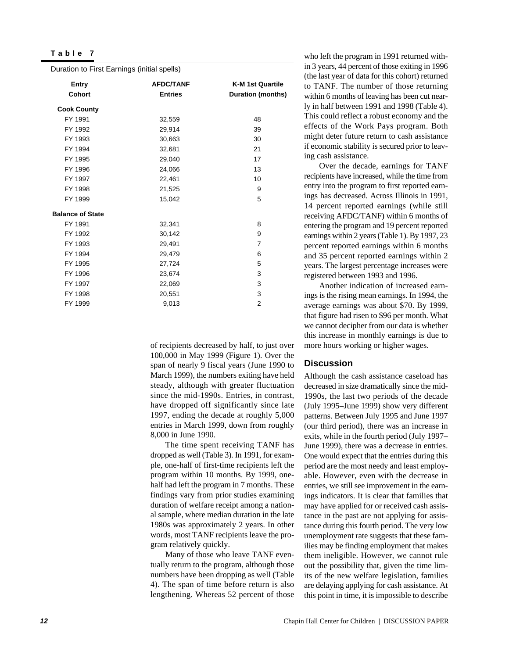| Duration to First Earnings (initial spells) |                  |                          |  |  |  |  |  |
|---------------------------------------------|------------------|--------------------------|--|--|--|--|--|
| Entry                                       | <b>AFDC/TANF</b> | <b>K-M 1st Quartile</b>  |  |  |  |  |  |
| <b>Cohort</b>                               | <b>Entries</b>   | <b>Duration (months)</b> |  |  |  |  |  |
| <b>Cook County</b>                          |                  |                          |  |  |  |  |  |
| FY 1991                                     | 32,559           | 48                       |  |  |  |  |  |
| FY 1992                                     | 29,914           | 39                       |  |  |  |  |  |
| FY 1993                                     | 30,663           | 30                       |  |  |  |  |  |
| FY 1994                                     | 32,681           | 21                       |  |  |  |  |  |
| FY 1995                                     | 29,040           | 17                       |  |  |  |  |  |
| FY 1996                                     | 24,066           | 13                       |  |  |  |  |  |
| FY 1997                                     | 22,461           | 10                       |  |  |  |  |  |
| FY 1998                                     | 21,525           | 9                        |  |  |  |  |  |
| FY 1999                                     | 15,042           | 5                        |  |  |  |  |  |
| <b>Balance of State</b>                     |                  |                          |  |  |  |  |  |
| FY 1991                                     | 32,341           | 8                        |  |  |  |  |  |
| FY 1992                                     | 30,142           | 9                        |  |  |  |  |  |
| FY 1993                                     | 29,491           | $\overline{7}$           |  |  |  |  |  |
| FY 1994                                     | 29,479           | 6                        |  |  |  |  |  |
| FY 1995                                     | 27,724           | 5                        |  |  |  |  |  |
| FY 1996                                     | 23,674           | 3                        |  |  |  |  |  |
| FY 1997                                     | 22,069           | 3                        |  |  |  |  |  |
| FY 1998                                     | 20,551           | 3                        |  |  |  |  |  |
| FY 1999                                     | 9,013            | $\overline{2}$           |  |  |  |  |  |

of recipients decreased by half, to just over 100,000 in May 1999 (Figure 1). Over the span of nearly 9 fiscal years (June 1990 to March 1999), the numbers exiting have held steady, although with greater fluctuation since the mid-1990s. Entries, in contrast, have dropped off significantly since late 1997, ending the decade at roughly 5,000 entries in March 1999, down from roughly 8,000 in June 1990.

The time spent receiving TANF has dropped as well (Table 3). In 1991, for example, one-half of first-time recipients left the program within 10 months. By 1999, onehalf had left the program in 7 months. These findings vary from prior studies examining duration of welfare receipt among a national sample, where median duration in the late 1980s was approximately 2 years. In other words, most TANF recipients leave the program relatively quickly.

Many of those who leave TANF eventually return to the program, although those numbers have been dropping as well (Table 4). The span of time before return is also lengthening. Whereas 52 percent of those who left the program in 1991 returned within 3 years, 44 percent of those exiting in 1996 (the last year of data for this cohort) returned to TANF. The number of those returning within 6 months of leaving has been cut nearly in half between 1991 and 1998 (Table 4). This could reflect a robust economy and the effects of the Work Pays program. Both might deter future return to cash assistance if economic stability is secured prior to leaving cash assistance.

Over the decade, earnings for TANF recipients have increased, while the time from entry into the program to first reported earnings has decreased. Across Illinois in 1991, 14 percent reported earnings (while still receiving AFDC/TANF) within 6 months of entering the program and 19 percent reported earnings within 2 years (Table 1). By 1997, 23 percent reported earnings within 6 months and 35 percent reported earnings within 2 years. The largest percentage increases were registered between 1993 and 1996.

Another indication of increased earnings is the rising mean earnings. In 1994, the average earnings was about \$70. By 1999, that figure had risen to \$96 per month. What we cannot decipher from our data is whether this increase in monthly earnings is due to more hours working or higher wages.

#### **Discussion**

Although the cash assistance caseload has decreased in size dramatically since the mid-1990s, the last two periods of the decade (July 1995–June 1999) show very different patterns. Between July 1995 and June 1997 (our third period), there was an increase in exits, while in the fourth period (July 1997– June 1999), there was a decrease in entries. One would expect that the entries during this period are the most needy and least employable. However, even with the decrease in entries, we still see improvement in the earnings indicators. It is clear that families that may have applied for or received cash assistance in the past are not applying for assistance during this fourth period. The very low unemployment rate suggests that these families may be finding employment that makes them ineligible. However, we cannot rule out the possibility that, given the time limits of the new welfare legislation, families are delaying applying for cash assistance. At this point in time, it is impossible to describe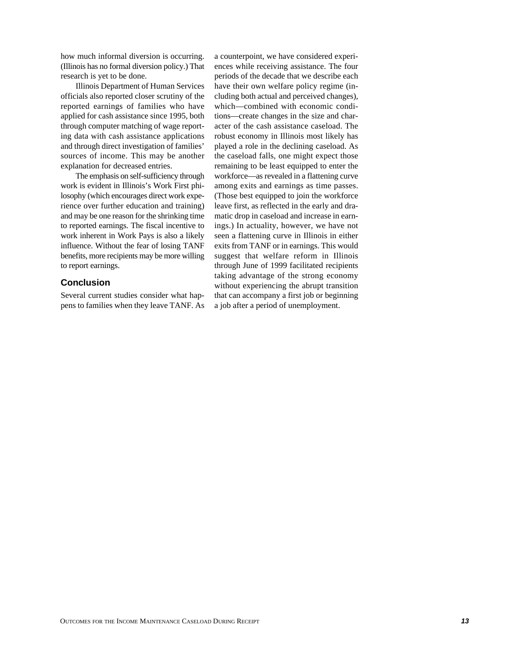how much informal diversion is occurring. (Illinois has no formal diversion policy.) That research is yet to be done.

Illinois Department of Human Services officials also reported closer scrutiny of the reported earnings of families who have applied for cash assistance since 1995, both through computer matching of wage reporting data with cash assistance applications and through direct investigation of families' sources of income. This may be another explanation for decreased entries.

The emphasis on self-sufficiency through work is evident in Illinois's Work First philosophy (which encourages direct work experience over further education and training) and may be one reason for the shrinking time to reported earnings. The fiscal incentive to work inherent in Work Pays is also a likely influence. Without the fear of losing TANF benefits, more recipients may be more willing to report earnings.

## **Conclusion**

Several current studies consider what happens to families when they leave TANF. As a counterpoint, we have considered experiences while receiving assistance. The four periods of the decade that we describe each have their own welfare policy regime (including both actual and perceived changes), which—combined with economic conditions—create changes in the size and character of the cash assistance caseload. The robust economy in Illinois most likely has played a role in the declining caseload. As the caseload falls, one might expect those remaining to be least equipped to enter the workforce—as revealed in a flattening curve among exits and earnings as time passes. (Those best equipped to join the workforce leave first, as reflected in the early and dramatic drop in caseload and increase in earnings.) In actuality, however, we have not seen a flattening curve in Illinois in either exits from TANF or in earnings. This would suggest that welfare reform in Illinois through June of 1999 facilitated recipients taking advantage of the strong economy without experiencing the abrupt transition that can accompany a first job or beginning a job after a period of unemployment.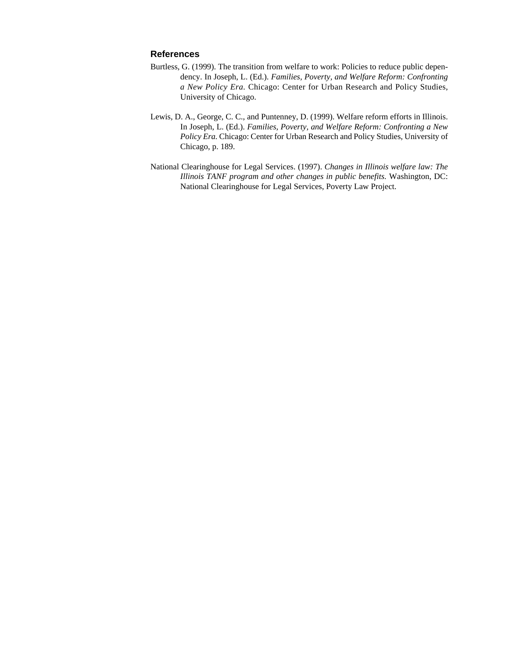#### **References**

- Burtless, G. (1999). The transition from welfare to work: Policies to reduce public dependency. In Joseph, L. (Ed.). *Families, Poverty, and Welfare Reform: Confronting a New Policy Era.* Chicago: Center for Urban Research and Policy Studies, University of Chicago.
- Lewis, D. A., George, C. C., and Puntenney, D. (1999). Welfare reform efforts in Illinois. In Joseph, L. (Ed.). *Families, Poverty, and Welfare Reform: Confronting a New Policy Era.* Chicago: Center for Urban Research and Policy Studies, University of Chicago, p. 189.
- National Clearinghouse for Legal Services. (1997). *Changes in Illinois welfare law: The Illinois TANF program and other changes in public benefits.* Washington, DC: National Clearinghouse for Legal Services, Poverty Law Project.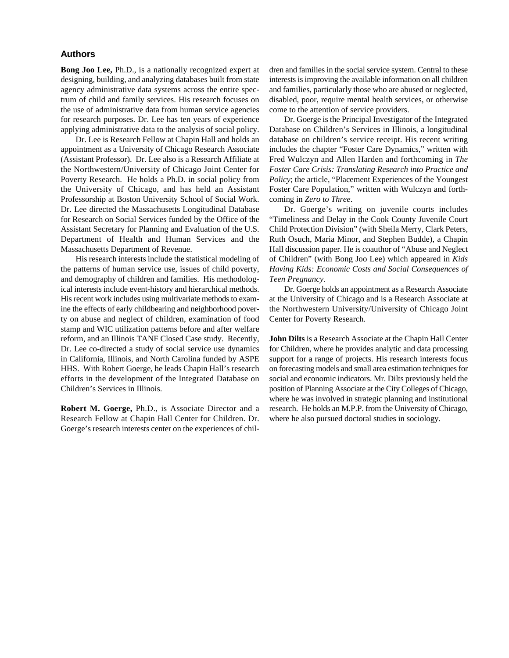#### **Authors**

**Bong Joo Lee,** Ph.D., is a nationally recognized expert at designing, building, and analyzing databases built from state agency administrative data systems across the entire spectrum of child and family services. His research focuses on the use of administrative data from human service agencies for research purposes. Dr. Lee has ten years of experience applying administrative data to the analysis of social policy.

Dr. Lee is Research Fellow at Chapin Hall and holds an appointment as a University of Chicago Research Associate (Assistant Professor). Dr. Lee also is a Research Affiliate at the Northwestern/University of Chicago Joint Center for Poverty Research. He holds a Ph.D. in social policy from the University of Chicago, and has held an Assistant Professorship at Boston University School of Social Work. Dr. Lee directed the Massachusetts Longitudinal Database for Research on Social Services funded by the Office of the Assistant Secretary for Planning and Evaluation of the U.S. Department of Health and Human Services and the Massachusetts Department of Revenue.

His research interests include the statistical modeling of the patterns of human service use, issues of child poverty, and demography of children and families. His methodological interests include event-history and hierarchical methods. His recent work includes using multivariate methods to examine the effects of early childbearing and neighborhood poverty on abuse and neglect of children, examination of food stamp and WIC utilization patterns before and after welfare reform, and an Illinois TANF Closed Case study. Recently, Dr. Lee co-directed a study of social service use dynamics in California, Illinois, and North Carolina funded by ASPE HHS. With Robert Goerge, he leads Chapin Hall's research efforts in the development of the Integrated Database on Children's Services in Illinois.

**Robert M. Goerge,** Ph.D., is Associate Director and a Research Fellow at Chapin Hall Center for Children. Dr. Goerge's research interests center on the experiences of children and families in the social service system. Central to these interests is improving the available information on all children and families, particularly those who are abused or neglected, disabled, poor, require mental health services, or otherwise come to the attention of service providers.

Dr. Goerge is the Principal Investigator of the Integrated Database on Children's Services in Illinois, a longitudinal database on children's service receipt. His recent writing includes the chapter "Foster Care Dynamics," written with Fred Wulczyn and Allen Harden and forthcoming in *The Foster Care Crisis: Translating Research into Practice and Policy*; the article, "Placement Experiences of the Youngest Foster Care Population," written with Wulczyn and forthcoming in *Zero to Three*.

Dr. Goerge's writing on juvenile courts includes "Timeliness and Delay in the Cook County Juvenile Court Child Protection Division" (with Sheila Merry, Clark Peters, Ruth Osuch, Maria Minor, and Stephen Budde), a Chapin Hall discussion paper. He is coauthor of "Abuse and Neglect of Children" (with Bong Joo Lee) which appeared in *Kids Having Kids: Economic Costs and Social Consequences of Teen Pregnancy*.

Dr. Goerge holds an appointment as a Research Associate at the University of Chicago and is a Research Associate at the Northwestern University/University of Chicago Joint Center for Poverty Research.

**John Dilts** is a Research Associate at the Chapin Hall Center for Children, where he provides analytic and data processing support for a range of projects. His research interests focus on forecasting models and small area estimation techniques for social and economic indicators. Mr. Dilts previously held the position of Planning Associate at the City Colleges of Chicago, where he was involved in strategic planning and institutional research. He holds an M.P.P. from the University of Chicago, where he also pursued doctoral studies in sociology.